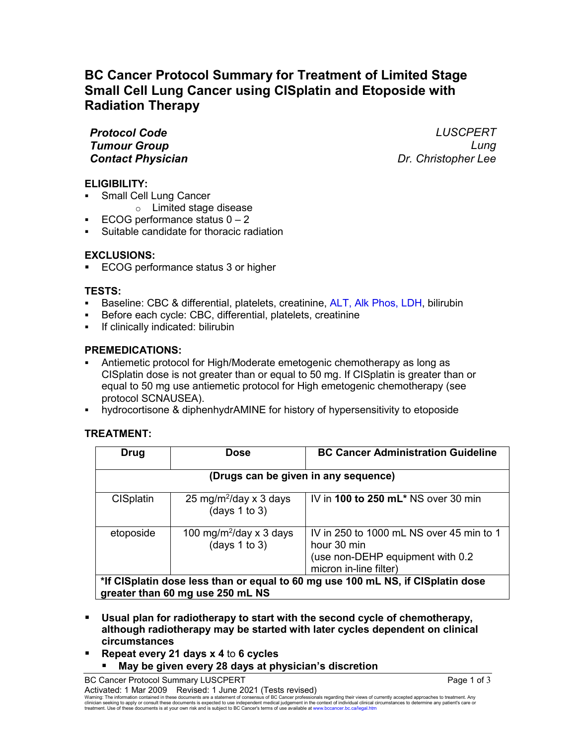# **BC Cancer Protocol Summary for Treatment of Limited Stage Small Cell Lung Cancer using CISplatin and Etoposide with Radiation Therapy**

*Protocol Code LUSCPERT Tumour Group Lung Contact Physician Dr. Christopher Lee*

## **ELIGIBILITY:**

- Small Cell Lung Cancer
	- o Limited stage disease
- ECOG performance status  $0 2$
- Suitable candidate for thoracic radiation

## **EXCLUSIONS:**

ECOG performance status 3 or higher

## **TESTS:**

- Baseline: CBC & differential, platelets, creatinine, ALT, Alk Phos, LDH, bilirubin
- Before each cycle: CBC, differential, platelets, creatinine
- If clinically indicated: bilirubin

## **PREMEDICATIONS:**

- Antiemetic protocol for High/Moderate emetogenic chemotherapy as long as CISplatin dose is not greater than or equal to 50 mg. If CISplatin is greater than or equal to 50 mg use antiemetic protocol for High emetogenic chemotherapy (see protocol SCNAUSEA).
- hydrocortisone & diphenhydrAMINE for history of hypersensitivity to etoposide

# **TREATMENT:**

| Drug                                                                                                                | Dose                                                      | <b>BC Cancer Administration Guideline</b>                                                                             |  |  |
|---------------------------------------------------------------------------------------------------------------------|-----------------------------------------------------------|-----------------------------------------------------------------------------------------------------------------------|--|--|
| (Drugs can be given in any sequence)                                                                                |                                                           |                                                                                                                       |  |  |
| <b>CISplatin</b>                                                                                                    | 25 mg/m <sup>2</sup> /day x 3 days<br>(days $1$ to $3$ )  | IV in 100 to 250 mL* NS over 30 min                                                                                   |  |  |
| etoposide                                                                                                           | 100 mg/m <sup>2</sup> /day x 3 days<br>(days $1$ to $3$ ) | IV in 250 to 1000 mL NS over 45 min to 1<br>hour 30 min<br>(use non-DEHP equipment with 0.2<br>micron in-line filter) |  |  |
| *If CISplatin dose less than or equal to 60 mg use 100 mL NS, if CISplatin dose<br>greater than 60 mg use 250 mL NS |                                                           |                                                                                                                       |  |  |

- **Usual plan for radiotherapy to start with the second cycle of chemotherapy, although radiotherapy may be started with later cycles dependent on clinical circumstances**
- **Repeat every 21 days x 4** to **6 cycles May be given every 28 days at physician's discretion**

Warning: The information contained in these documents are a statement of consensus of BC Cancer professionals regarding their views of currently accepted approaches to treatment. Any<br>clinician seeking to apply or consult t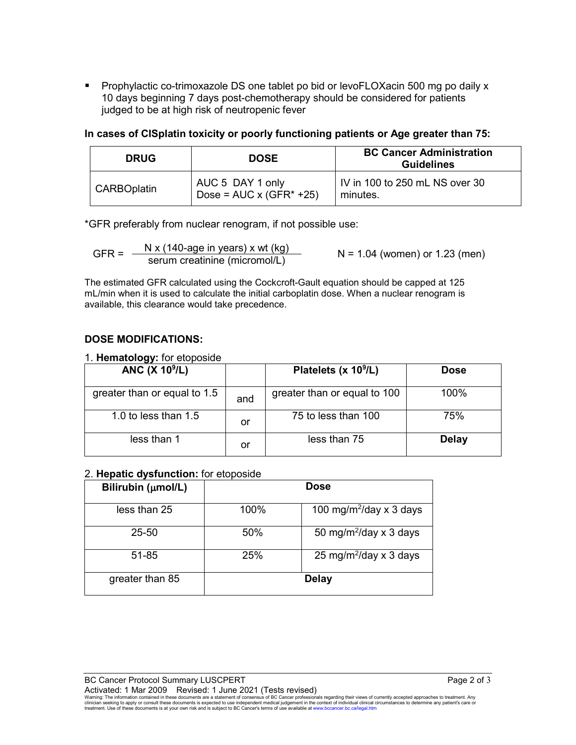**Prophylactic co-trimoxazole DS one tablet po bid or levoFLOXacin 500 mg po daily x** 10 days beginning 7 days post-chemotherapy should be considered for patients judged to be at high risk of neutropenic fever

**In cases of CISplatin toxicity or poorly functioning patients or Age greater than 75:**

| <b>DRUG</b> | <b>DOSE</b>                                         | <b>BC Cancer Administration</b><br><b>Guidelines</b> |
|-------------|-----------------------------------------------------|------------------------------------------------------|
| CARBOplatin | AUC 5 DAY 1 only<br>Dose = $AUC \times (GFR^* +25)$ | IV in 100 to 250 mL NS over 30<br>minutes.           |

\*GFR preferably from nuclear renogram, if not possible use:

GFR =  $\frac{N x (140\text{-age in years}) x wt (kg)}{s$  N = 1.04 (women) or 1.23 (men)

The estimated GFR calculated using the Cockcroft-Gault equation should be capped at 125 mL/min when it is used to calculate the initial carboplatin dose. When a nuclear renogram is available, this clearance would take precedence.

## **DOSE MODIFICATIONS:**

1. **Hematology:** for etoposide

| - JJ<br><b>ANC (X 10<sup>9</sup>/L)</b> |     | Platelets (x $10^9$ /L)      | <b>Dose</b>  |
|-----------------------------------------|-----|------------------------------|--------------|
| greater than or equal to 1.5            | and | greater than or equal to 100 | $100\%$      |
| 1.0 to less than $1.5$                  | or  | 75 to less than 100          | 75%          |
| less than 1                             | or  | less than 75                 | <b>Delay</b> |

#### 2. **Hepatic dysfunction:** for etoposide

| Bilirubin (umol/L) | <b>Dose</b> |                                            |  |
|--------------------|-------------|--------------------------------------------|--|
| less than 25       | 100%        | 100 mg/m <sup>2</sup> /day $\times$ 3 days |  |
| $25 - 50$          | 50%         | 50 mg/m <sup>2</sup> /day x 3 days         |  |
| 51-85              | 25%         | 25 mg/m <sup>2</sup> /day x 3 days         |  |
| greater than 85    |             | <b>Delay</b>                               |  |

BC Cancer Protocol Summary LUSCPERT **Page 2 of 3** and 3 and 3 and 3 and 3 and 3 and 4 and 4 and 4 and 4 and 4 and 4 and 4 and 4 and 4 and 4 and 4 and 4 and 4 and 4 and 4 and 4 and 4 and 4 and 4 and 4 and 4 and 4 and 4 and Activated: 1 Mar 2009 Revised: 1 June 2021 (Tests revised)

Warning: The information contained in these documents are a statement of consensus of BC Cancer professionals regarding their views of currently accepted approaches to treatment. Any<br>clinician seeking to apply or consult t